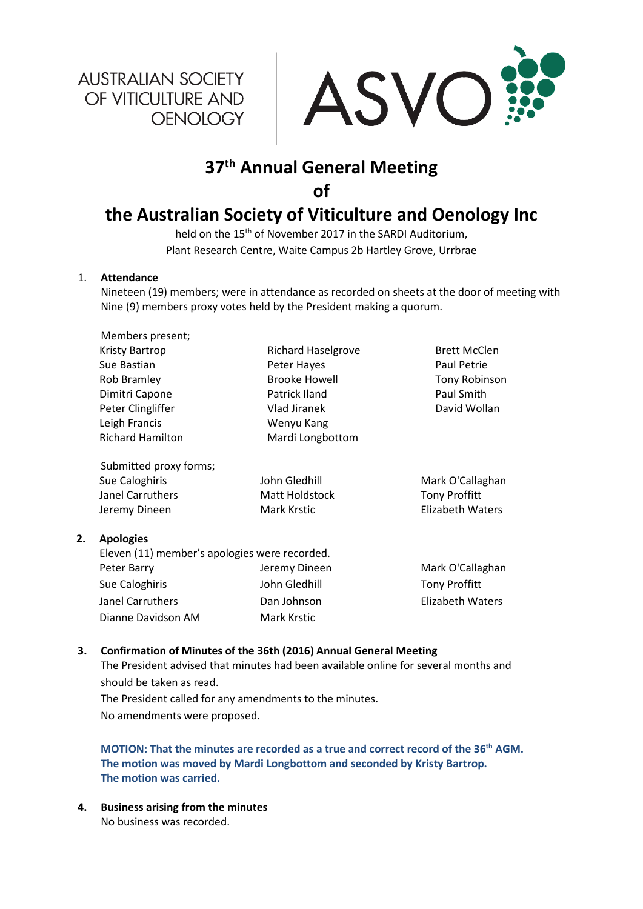**AUSTRALIAN SOCIETY** OF VITICULTURE AND OENOLOGY



# **37th Annual General Meeting of**

## **the Australian Society of Viticulture and Oenology Inc**

held on the 15<sup>th</sup> of November 2017 in the SARDI Auditorium, Plant Research Centre, Waite Campus 2b Hartley Grove, Urrbrae

### 1. **Attendance**

Nineteen (19) members; were in attendance as recorded on sheets at the door of meeting with Nine (9) members proxy votes held by the President making a quorum.

|    | Members present;                              |                           |                      |
|----|-----------------------------------------------|---------------------------|----------------------|
|    | Kristy Bartrop                                | <b>Richard Haselgrove</b> | <b>Brett McClen</b>  |
|    | Sue Bastian                                   | Peter Hayes               | Paul Petrie          |
|    | Rob Bramley                                   | <b>Brooke Howell</b>      | <b>Tony Robinson</b> |
|    | Dimitri Capone                                | Patrick Iland             | Paul Smith           |
|    | Peter Clingliffer                             | Vlad Jiranek              | David Wollan         |
|    | Leigh Francis                                 | Wenyu Kang                |                      |
|    | <b>Richard Hamilton</b>                       | Mardi Longbottom          |                      |
|    | Submitted proxy forms;                        |                           |                      |
|    | Sue Caloghiris                                | John Gledhill             | Mark O'Callaghan     |
|    | Janel Carruthers                              | Matt Holdstock            | <b>Tony Proffitt</b> |
|    | Jeremy Dineen                                 | Mark Krstic               | Elizabeth Waters     |
| 2. | <b>Apologies</b>                              |                           |                      |
|    | Eleven (11) member's apologies were recorded. |                           |                      |
|    | Peter Barry                                   | Jeremy Dineen             | Mark O'Callaghan     |
|    | Sue Caloghiris                                | John Gledhill             | <b>Tony Proffitt</b> |
|    | Janel Carruthers                              | Dan Johnson               | Elizabeth Waters     |
|    | Dianne Davidson AM                            | Mark Krstic               |                      |

## **3. Confirmation of Minutes of the 36th (2016) Annual General Meeting**

The President advised that minutes had been available online for several months and should be taken as read.

The President called for any amendments to the minutes. No amendments were proposed.

## **MOTION: That the minutes are recorded as a true and correct record of the 36th AGM. The motion was moved by Mardi Longbottom and seconded by Kristy Bartrop. The motion was carried.**

**4. Business arising from the minutes** No business was recorded.